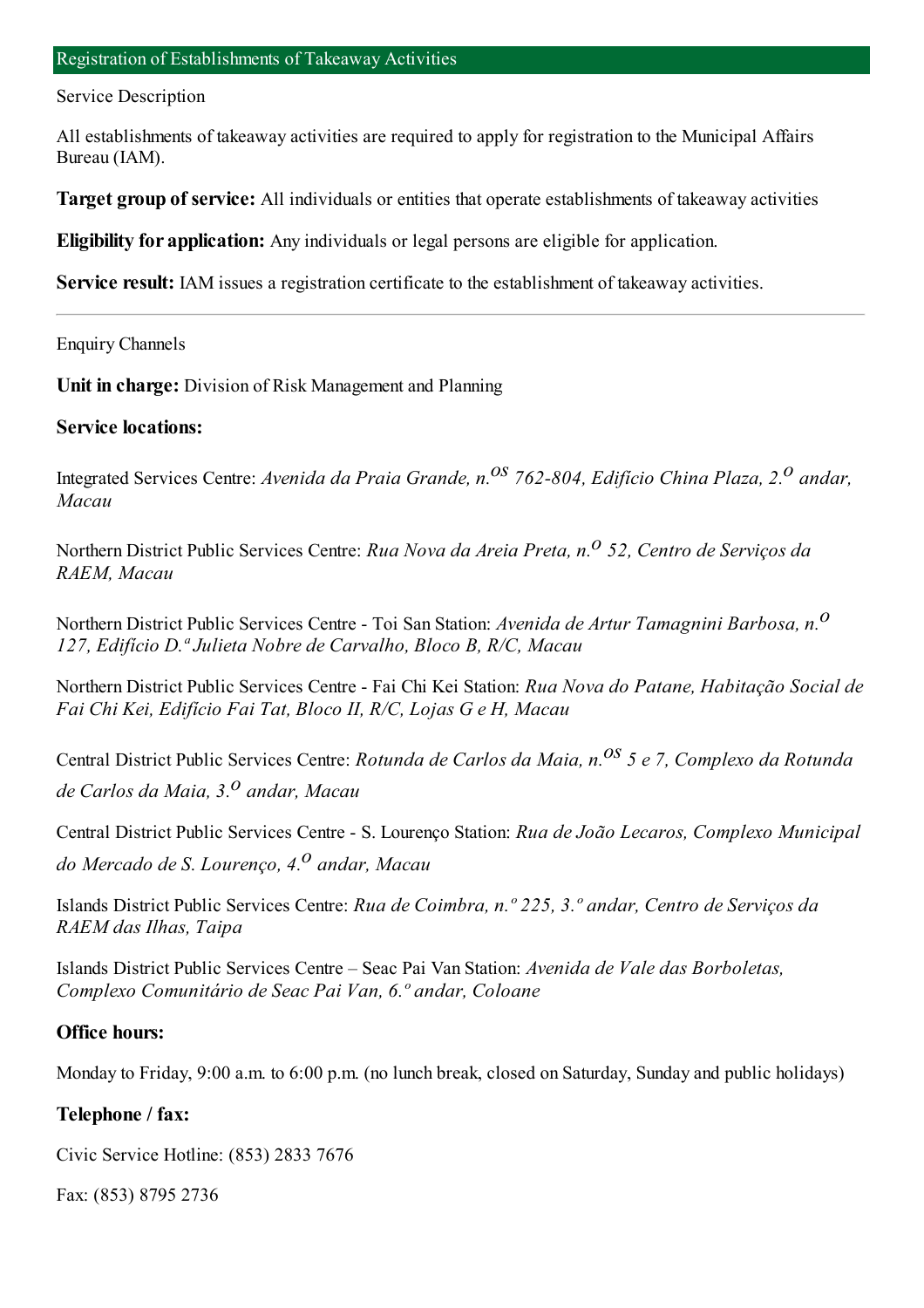#### Service Description

All establishments of takeaway activities are required to apply for registration to the Municipal Affairs Bureau (IAM).

**Target group of service:** All individuals or entities that operate establishments of takeaway activities

**Eligibility for application:** Any individuals or legal persons are eligible for application.

**Service result:** IAM issues a registration certificate to the establishment of takeaway activities.

Enquiry Channels

**Unit in charge:** Division of Risk Management and Planning

#### **Service locations:**

Integrated Services Centre: *Avenida da Praia Grande, n.os 762-804, Edifício China Plaza, 2.o andar, Macau*

Northern District Public Services Centre: *Rua Nova da Areia Preta, n.o 52, Centro de Serviços da RAEM, Macau*

Northern District Public Services Centre - Toi San Station: *Avenida de Artur Tamagnini Barbosa, n.o 127, Edifício D.ª Julieta Nobre de Carvalho, Bloco B, R/C, Macau*

Northern District Public Services Centre - Fai Chi Kei Station: *Rua Nova do Patane, Habitação Social de Fai Chi Kei, Edifício Fai Tat, Bloco II, R/C, Lojas G e H, Macau*

Central District Public Services Centre: *Rotunda de Carlos da Maia, n.os 5 e 7, Complexo da Rotunda de Carlos da Maia, 3.o andar, Macau*

Central District Public Services Centre - S. Lourenço Station: *Rua de João Lecaros, Complexo Municipal do Mercado de S. Lourenço, 4.o andar, Macau*

Islands District Public Services Centre: *Rua de Coimbra, n.º 225, 3.º andar, Centro de Serviços da RAEM das Ilhas, Taipa*

Islands District Public Services Centre – Seac Pai Van Station: *Avenida de Vale das Borboletas, Complexo Comunitário de Seac Pai Van, 6.º andar, Coloane*

### **Office hours:**

Monday to Friday, 9:00 a.m. to 6:00 p.m. (no lunch break, closed on Saturday, Sunday and public holidays)

#### **Telephone / fax:**

Civic Service Hotline: (853) 2833 7676

Fax: (853) 8795 2736